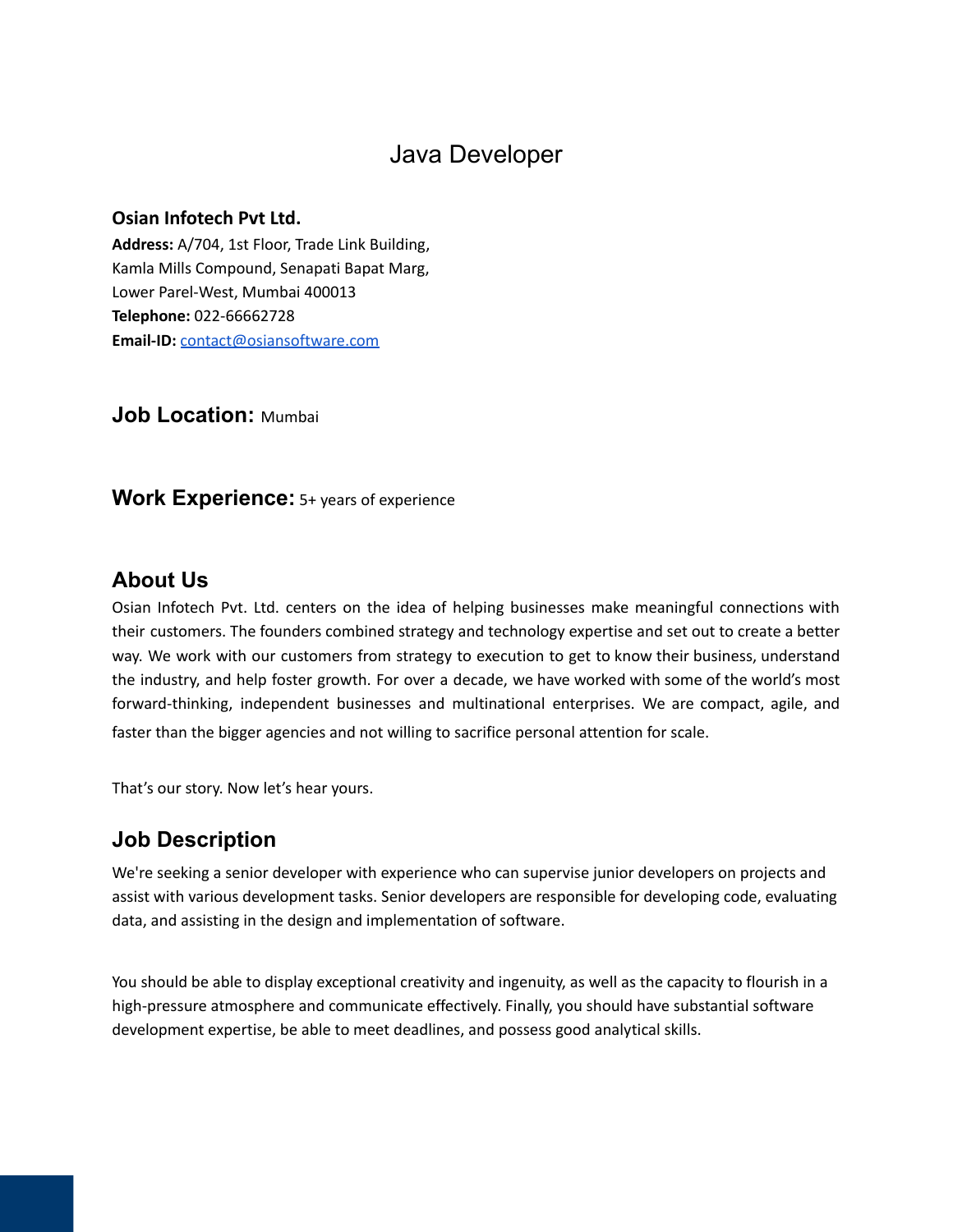# Java Developer

#### **Osian Infotech Pvt Ltd.**

**Address:** A/704, 1st Floor, Trade Link Building, Kamla Mills Compound, Senapati Bapat Marg, Lower Parel-West, Mumbai 400013 **Telephone:** 022-66662728 **Email-ID:** [contact@osiansoftware.com](mailto:contact@osiansoftware.com)

**Job Location:** Mumbai

### **Work Experience:** 5+ years of experience

### **About Us**

Osian Infotech Pvt. Ltd. centers on the idea of helping businesses make meaningful connections with their customers. The founders combined strategy and technology expertise and set out to create a better way. We work with our customers from strategy to execution to get to know their business, understand the industry, and help foster growth. For over a decade, we have worked with some of the world's most forward-thinking, independent businesses and multinational enterprises. We are compact, agile, and faster than the bigger agencies and not willing to sacrifice personal attention for scale.

That's our story. Now let's hear yours.

### **Job Description**

We're seeking a senior developer with experience who can supervise junior developers on projects and assist with various development tasks. Senior developers are responsible for developing code, evaluating data, and assisting in the design and implementation of software.

You should be able to display exceptional creativity and ingenuity, as well as the capacity to flourish in a high-pressure atmosphere and communicate effectively. Finally, you should have substantial software development expertise, be able to meet deadlines, and possess good analytical skills.